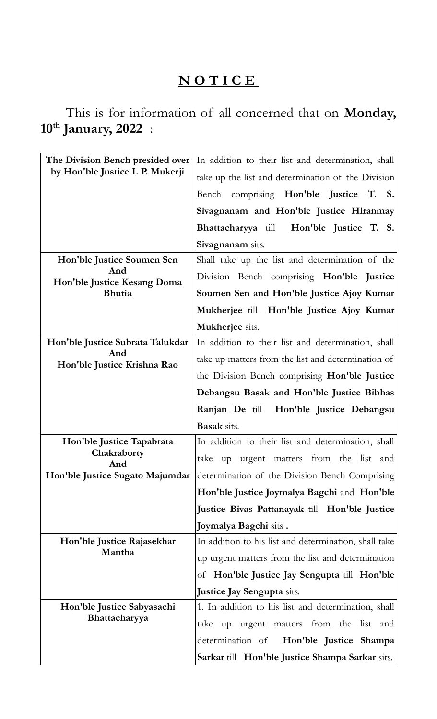## **N O T I C E**

This is for information of all concerned that on **Monday, 10th January, 2022** :

| The Division Bench presided over<br>by Hon'ble Justice I. P. Mukerji | In addition to their list and determination, shall    |
|----------------------------------------------------------------------|-------------------------------------------------------|
|                                                                      | take up the list and determination of the Division    |
|                                                                      | Bench comprising Hon'ble Justice T. S.                |
|                                                                      | Sivagnanam and Hon'ble Justice Hiranmay               |
|                                                                      | Bhattacharyya till Hon'ble Justice T. S.              |
|                                                                      | Sivagnanam sits.                                      |
| Hon'ble Justice Soumen Sen                                           | Shall take up the list and determination of the       |
| And<br>Hon'ble Justice Kesang Doma<br><b>Bhutia</b>                  | Division Bench comprising Hon'ble Justice             |
|                                                                      | Soumen Sen and Hon'ble Justice Ajoy Kumar             |
|                                                                      | Mukherjee till Hon'ble Justice Ajoy Kumar             |
|                                                                      | Mukherjee sits.                                       |
| Hon'ble Justice Subrata Talukdar                                     | In addition to their list and determination, shall    |
| And<br>Hon'ble Justice Krishna Rao                                   | take up matters from the list and determination of    |
|                                                                      | the Division Bench comprising Hon'ble Justice         |
|                                                                      | Debangsu Basak and Hon'ble Justice Bibhas             |
|                                                                      | Hon'ble Justice Debangsu<br><b>Ranjan De till</b>     |
|                                                                      |                                                       |
|                                                                      | <b>Basak</b> sits.                                    |
| Hon'ble Justice Tapabrata                                            | In addition to their list and determination, shall    |
| Chakraborty<br>And                                                   | up urgent matters from the list and<br>take           |
| Hon'ble Justice Sugato Majumdar                                      | determination of the Division Bench Comprising        |
|                                                                      | Hon'ble Justice Joymalya Bagchi and Hon'ble           |
|                                                                      | Justice Bivas Pattanayak till Hon'ble Justice         |
|                                                                      | Joymalya Bagchi sits.                                 |
| Hon'ble Justice Rajasekhar                                           | In addition to his list and determination, shall take |
| Mantha                                                               | up urgent matters from the list and determination     |
|                                                                      | of <b>Hon'ble Justice Jay Sengupta till Hon'ble</b>   |
|                                                                      | <b>Justice Jay Sengupta</b> sits.                     |
| Hon'ble Justice Sabyasachi                                           | 1. In addition to his list and determination, shall   |
| Bhattacharyya                                                        | up urgent matters from the list and<br>take           |
|                                                                      | Hon'ble Justice Shampa<br>determination of            |